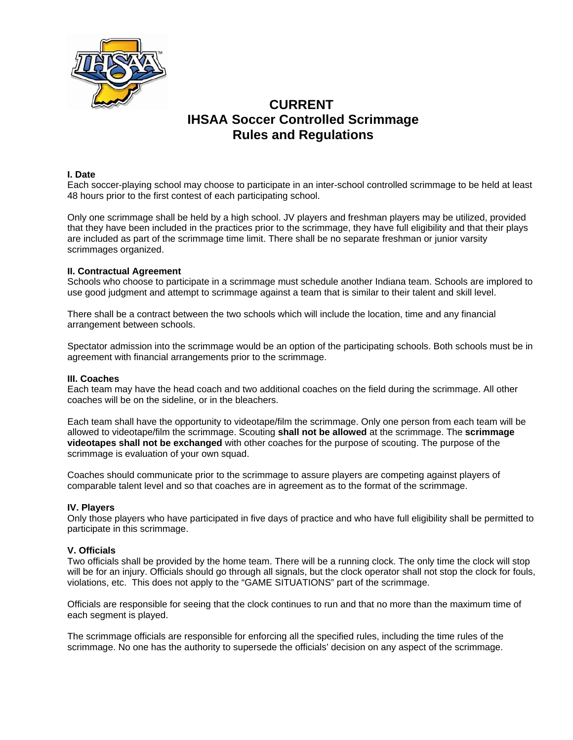

# **CURRENT IHSAA Soccer Controlled Scrimmage Rules and Regulations**

## **I. Date**

Each soccer-playing school may choose to participate in an inter-school controlled scrimmage to be held at least 48 hours prior to the first contest of each participating school.

Only one scrimmage shall be held by a high school. JV players and freshman players may be utilized, provided that they have been included in the practices prior to the scrimmage, they have full eligibility and that their plays are included as part of the scrimmage time limit. There shall be no separate freshman or junior varsity scrimmages organized.

#### **II. Contractual Agreement**

Schools who choose to participate in a scrimmage must schedule another Indiana team. Schools are implored to use good judgment and attempt to scrimmage against a team that is similar to their talent and skill level.

There shall be a contract between the two schools which will include the location, time and any financial arrangement between schools.

Spectator admission into the scrimmage would be an option of the participating schools. Both schools must be in agreement with financial arrangements prior to the scrimmage.

#### **III. Coaches**

Each team may have the head coach and two additional coaches on the field during the scrimmage. All other coaches will be on the sideline, or in the bleachers.

Each team shall have the opportunity to videotape/film the scrimmage. Only one person from each team will be allowed to videotape/film the scrimmage. Scouting **shall not be allowed** at the scrimmage. The **scrimmage videotapes shall not be exchanged** with other coaches for the purpose of scouting. The purpose of the scrimmage is evaluation of your own squad.

Coaches should communicate prior to the scrimmage to assure players are competing against players of comparable talent level and so that coaches are in agreement as to the format of the scrimmage.

#### **IV. Players**

Only those players who have participated in five days of practice and who have full eligibility shall be permitted to participate in this scrimmage.

#### **V. Officials**

Two officials shall be provided by the home team. There will be a running clock. The only time the clock will stop will be for an injury. Officials should go through all signals, but the clock operator shall not stop the clock for fouls, violations, etc. This does not apply to the "GAME SITUATIONS" part of the scrimmage.

Officials are responsible for seeing that the clock continues to run and that no more than the maximum time of each segment is played.

The scrimmage officials are responsible for enforcing all the specified rules, including the time rules of the scrimmage. No one has the authority to supersede the officials' decision on any aspect of the scrimmage.